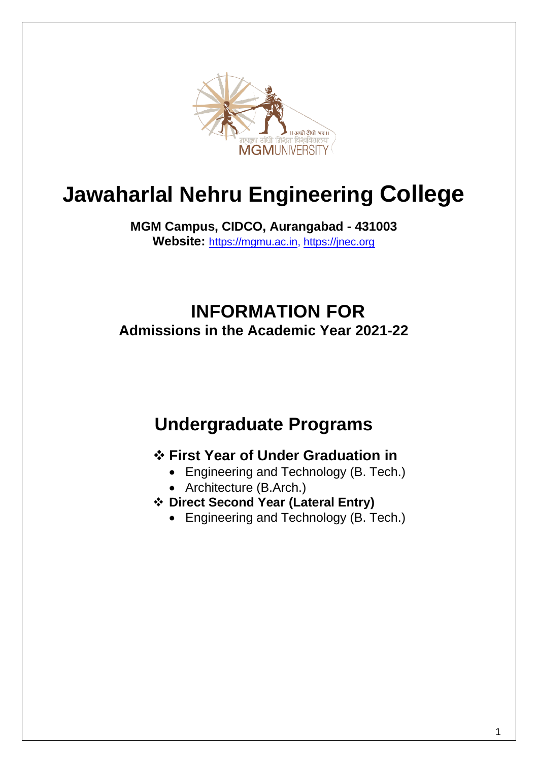

# **Jawaharlal Nehru Engineering College**

**MGM Campus, CIDCO, Aurangabad - 431003 Website:** [https://mgmu.ac.in,](https://mgmu.ac.in/) [https://jnec.org](https://jnec.org/)

# **INFORMATION FOR Admissions in the Academic Year 2021-22**

# **Undergraduate Programs**

# ❖ **First Year of Under Graduation in**

- Engineering and Technology (B. Tech.)
- Architecture (B.Arch.)
- ❖ **Direct Second Year (Lateral Entry)** 
	- Engineering and Technology (B. Tech.)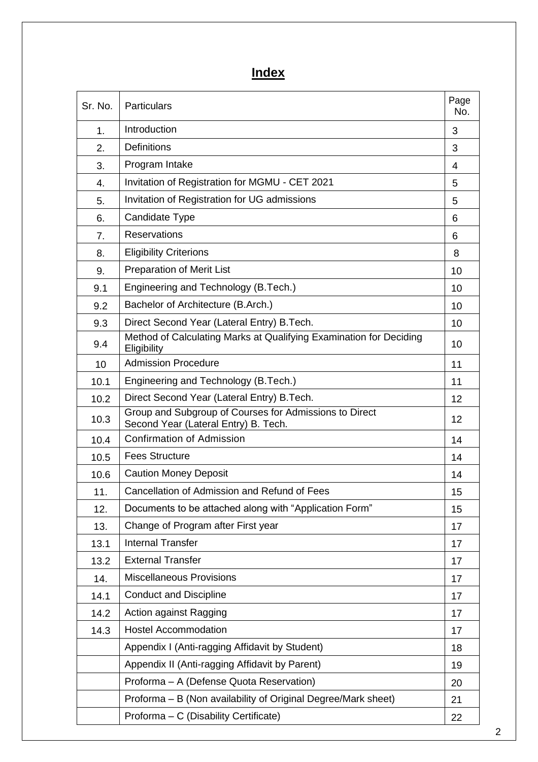# **Index**

| Sr. No. | <b>Particulars</b>                                                                             | Page<br>No. |
|---------|------------------------------------------------------------------------------------------------|-------------|
| 1.      | Introduction                                                                                   | 3           |
| 2.      | <b>Definitions</b>                                                                             | 3           |
| 3.      | Program Intake                                                                                 | 4           |
| 4.      | Invitation of Registration for MGMU - CET 2021                                                 | 5           |
| 5.      | Invitation of Registration for UG admissions                                                   | 5           |
| 6.      | Candidate Type                                                                                 | 6           |
| 7.      | <b>Reservations</b>                                                                            | 6           |
| 8.      | <b>Eligibility Criterions</b>                                                                  | 8           |
| 9.      | <b>Preparation of Merit List</b>                                                               | 10          |
| 9.1     | Engineering and Technology (B.Tech.)                                                           | 10          |
| 9.2     | Bachelor of Architecture (B.Arch.)                                                             | 10          |
| 9.3     | Direct Second Year (Lateral Entry) B.Tech.                                                     | 10          |
| 9.4     | Method of Calculating Marks at Qualifying Examination for Deciding<br>Eligibility              | 10          |
| 10      | <b>Admission Procedure</b>                                                                     | 11          |
| 10.1    | Engineering and Technology (B.Tech.)                                                           | 11          |
| 10.2    | Direct Second Year (Lateral Entry) B.Tech.                                                     | 12          |
| 10.3    | Group and Subgroup of Courses for Admissions to Direct<br>Second Year (Lateral Entry) B. Tech. | 12          |
| 10.4    | <b>Confirmation of Admission</b>                                                               | 14          |
| 10.5    | <b>Fees Structure</b>                                                                          | 14          |
| 10.6    | <b>Caution Money Deposit</b>                                                                   | 14          |
| 11.     | Cancellation of Admission and Refund of Fees                                                   | 15          |
| 12.     | Documents to be attached along with "Application Form"                                         | 15          |
| 13.     | Change of Program after First year                                                             | 17          |
| 13.1    | <b>Internal Transfer</b>                                                                       | 17          |
| 13.2    | <b>External Transfer</b>                                                                       | 17          |
| 14.     | <b>Miscellaneous Provisions</b>                                                                | 17          |
| 14.1    | <b>Conduct and Discipline</b>                                                                  | 17          |
| 14.2    | Action against Ragging                                                                         | 17          |
| 14.3    | <b>Hostel Accommodation</b>                                                                    | 17          |
|         | Appendix I (Anti-ragging Affidavit by Student)                                                 | 18          |
|         | Appendix II (Anti-ragging Affidavit by Parent)                                                 | 19          |
|         | Proforma - A (Defense Quota Reservation)                                                       | 20          |
|         | Proforma - B (Non availability of Original Degree/Mark sheet)                                  | 21          |
|         | Proforma - C (Disability Certificate)                                                          | 22          |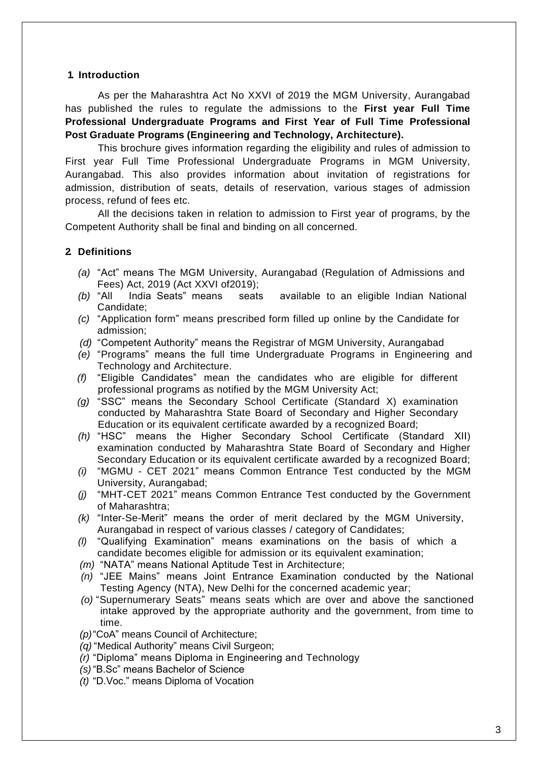#### **1. Introduction**

As per the Maharashtra Act No XXVI of 2019 the MGM University, Aurangabad has published the rules to regulate the admissions to the **First year Full Time Professional Undergraduate Programs and First Year of Full Time Professional Post Graduate Programs (Engineering and Technology, Architecture).**

This brochure gives information regarding the eligibility and rules of admission to First year Full Time Professional Undergraduate Programs in MGM University, Aurangabad. This also provides information about invitation of registrations for admission, distribution of seats, details of reservation, various stages of admission process, refund of fees etc.

All the decisions taken in relation to admission to First year of programs, by the Competent Authority shall be final and binding on all concerned.

#### **2. Definitions**

- *(a)* "Act" means The MGM University, Aurangabad (Regulation of Admissions and Fees) Act, 2019 (Act XXVI of2019);
- *(b)* "All India Seats" means seats available to an eligible Indian National Candidate;
- *(c)* "Application form" means prescribed form filled up online by the Candidate for admission;
- *(d)* "Competent Authority" means the Registrar of MGM University, Aurangabad
- *(e)* "Programs" means the full time Undergraduate Programs in Engineering and Technology and Architecture.
- *(f)* "Eligible Candidates" mean the candidates who are eligible for different professional programs as notified by the MGM University Act;
- *(g)* "SSC" means the Secondary School Certificate (Standard X) examination conducted by Maharashtra State Board of Secondary and Higher Secondary Education or its equivalent certificate awarded by a recognized Board;
- *(h)* "HSC" means the Higher Secondary School Certificate (Standard XII) examination conducted by Maharashtra State Board of Secondary and Higher Secondary Education or its equivalent certificate awarded by a recognized Board;
- *(i)* "MGMU CET 2021" means Common Entrance Test conducted by the MGM University, Aurangabad;
- *(j)* "MHT-CET 2021" means Common Entrance Test conducted by the Government of Maharashtra;
- *(k)* "Inter-Se-Merit" means the order of merit declared by the MGM University, Aurangabad in respect of various classes / category of Candidates;
- *(l)* "Qualifying Examination" means examinations on the basis of which a candidate becomes eligible for admission or its equivalent examination;
- *(m)* "NATA" means National Aptitude Test in Architecture;
- *(n)* "JEE Mains" means Joint Entrance Examination conducted by the National Testing Agency (NTA), New Delhi for the concerned academic year;
- *(o)* "Supernumerary Seats" means seats which are over and above the sanctioned intake approved by the appropriate authority and the government, from time to time.
- *(p)*"CoA" means Council of Architecture;
- *(q)* "Medical Authority" means Civil Surgeon;
- *(r)* "Diploma" means Diploma in Engineering and Technology
- *(s)* "B.Sc" means Bachelor of Science
- *(t)* "D.Voc." means Diploma of Vocation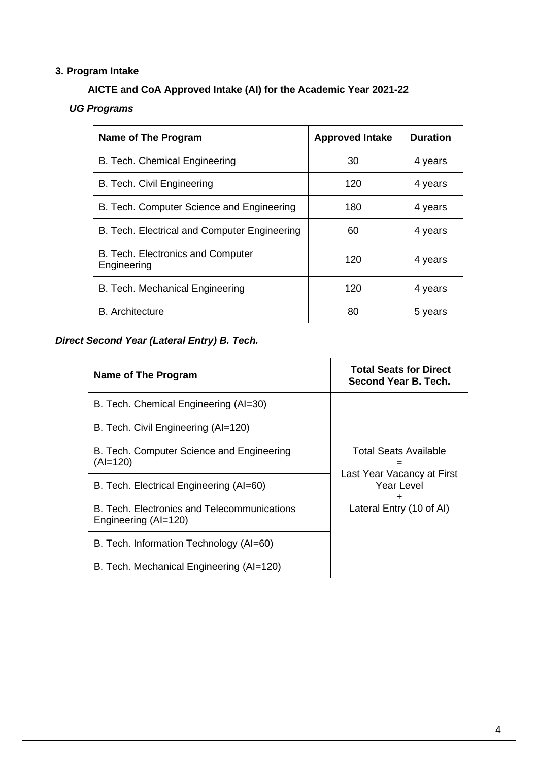# **3. Program Intake**

# **AICTE and CoA Approved Intake (AI) for the Academic Year 2021-22**

# *UG Programs*

| Name of The Program                              | <b>Approved Intake</b> | <b>Duration</b> |
|--------------------------------------------------|------------------------|-----------------|
| B. Tech. Chemical Engineering                    | 30                     | 4 years         |
| B. Tech. Civil Engineering                       | 120                    | 4 years         |
| B. Tech. Computer Science and Engineering        | 180                    | 4 years         |
| B. Tech. Electrical and Computer Engineering     | 60                     | 4 years         |
| B. Tech. Electronics and Computer<br>Engineering | 120                    | 4 years         |
| B. Tech. Mechanical Engineering                  | 120                    | 4 years         |
| <b>B.</b> Architecture                           | 80                     | 5 years         |

# *Direct Second Year (Lateral Entry) B. Tech.*

| Name of The Program                                                 | <b>Total Seats for Direct</b><br>Second Year B. Tech. |
|---------------------------------------------------------------------|-------------------------------------------------------|
| B. Tech. Chemical Engineering (AI=30)                               |                                                       |
| B. Tech. Civil Engineering (AI=120)                                 |                                                       |
| B. Tech. Computer Science and Engineering<br>$(AI=120)$             | Total Seats Available                                 |
| B. Tech. Electrical Engineering (AI=60)                             | Last Year Vacancy at First<br>Year Level              |
| B. Tech. Electronics and Telecommunications<br>Engineering (AI=120) | Lateral Entry (10 of AI)                              |
| B. Tech. Information Technology (AI=60)                             |                                                       |
| B. Tech. Mechanical Engineering (AI=120)                            |                                                       |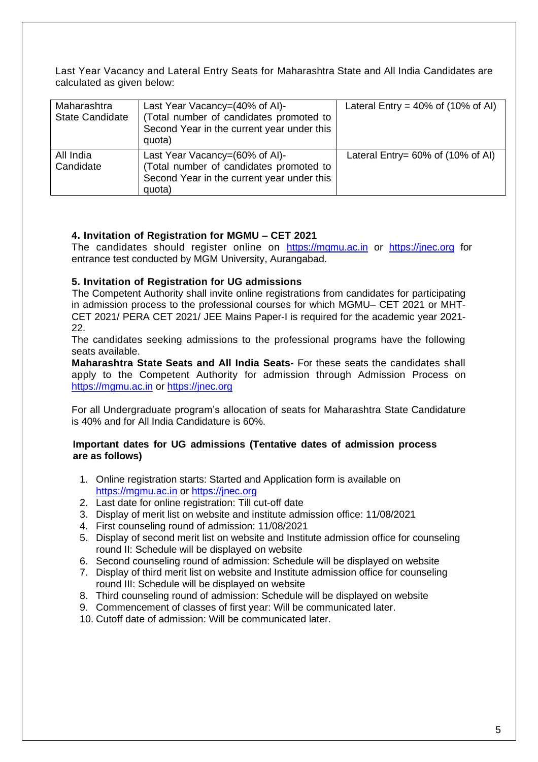Last Year Vacancy and Lateral Entry Seats for Maharashtra State and All India Candidates are calculated as given below:

| Maharashtra<br><b>State Candidate</b> | Last Year Vacancy=(40% of AI)-<br>(Total number of candidates promoted to<br>Second Year in the current year under this<br>quota) | Lateral Entry = $40\%$ of (10% of AI) |
|---------------------------------------|-----------------------------------------------------------------------------------------------------------------------------------|---------------------------------------|
| All India<br>Candidate                | Last Year Vacancy=(60% of AI)-<br>(Total number of candidates promoted to<br>Second Year in the current year under this<br>quota) | Lateral Entry= $60\%$ of (10% of AI)  |

#### **4. Invitation of Registration for MGMU – CET 2021**

The candidates should register online on [https://mgmu.ac.in](https://mgmu.ac.in/) or [https://jnec.org](https://jnec.org/) for entrance test conducted by MGM University, Aurangabad.

#### **5. Invitation of Registration for UG admissions**

 The Competent Authority shall invite online registrations from candidates for participating in admission process to the professional courses for which MGMU– CET 2021 or MHT-CET 2021/ PERA CET 2021/ JEE Mains Paper-I is required for the academic year 2021- 22.

The candidates seeking admissions to the professional programs have the following seats available.

**Maharashtra State Seats and All India Seats-** For these seats the candidates shall apply to the Competent Authority for admission through Admission Process on [https://mgmu.ac.in](https://mgmu.ac.in/) or [https://jnec.org](https://jnec.org/)

For all Undergraduate program's allocation of seats for Maharashtra State Candidature is 40% and for All India Candidature is 60%.

#### **Important dates for UG admissions (Tentative dates of admission process are as follows)**

- 1. Online registration starts: Started and Application form is available on [https://mgmu.ac.in](https://mgmu.ac.in/) or [https://jnec.org](https://jnec.org/)
- 2. Last date for online registration: Till cut-off date
- 3. Display of merit list on website and institute admission office: 11/08/2021
- 4. First counseling round of admission: 11/08/2021
- 5. Display of second merit list on website and Institute admission office for counseling round II: Schedule will be displayed on website
- 6. Second counseling round of admission: Schedule will be displayed on website
- 7. Display of third merit list on website and Institute admission office for counseling round III: Schedule will be displayed on website
- 8. Third counseling round of admission: Schedule will be displayed on website
- 9. Commencement of classes of first year: Will be communicated later.
- 10. Cutoff date of admission: Will be communicated later.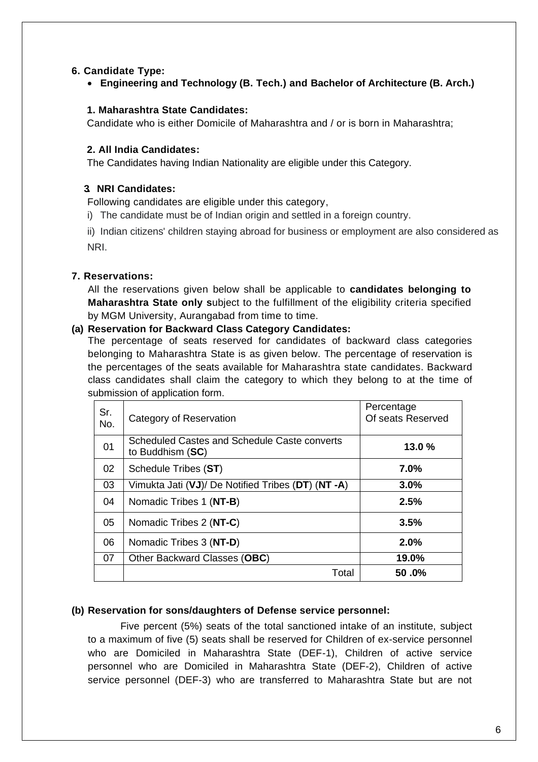#### **6. Candidate Type:**

• **Engineering and Technology (B. Tech.) and Bachelor of Architecture (B. Arch.)**

#### **1. Maharashtra State Candidates:**

Candidate who is either Domicile of Maharashtra and / or is born in Maharashtra;

#### **2. All India Candidates:**

The Candidates having Indian Nationality are eligible under this Category.

#### **3. NRI Candidates:**

Following candidates are eligible under this category,

i) The candidate must be of Indian origin and settled in a foreign country.

ii) Indian citizens' children staying abroad for business or employment are also considered as NRI.

#### **7. Reservations:**

All the reservations given below shall be applicable to **candidates belonging to Maharashtra State only s**ubject to the fulfillment of the eligibility criteria specified by MGM University, Aurangabad from time to time.

#### **(a) Reservation for Backward Class Category Candidates:**

The percentage of seats reserved for candidates of backward class categories belonging to Maharashtra State is as given below. The percentage of reservation is the percentages of the seats available for Maharashtra state candidates. Backward class candidates shall claim the category to which they belong to at the time of submission of application form.

| Sr.<br>No. | Category of Reservation                                          | Percentage<br>Of seats Reserved |
|------------|------------------------------------------------------------------|---------------------------------|
| 01         | Scheduled Castes and Schedule Caste converts<br>to Buddhism (SC) | 13.0%                           |
| 02         | Schedule Tribes (ST)                                             | $7.0\%$                         |
| 03         | Vimukta Jati (VJ)/ De Notified Tribes (DT) (NT -A)               | 3.0%                            |
| 04         | Nomadic Tribes 1 (NT-B)                                          | 2.5%                            |
| 05         | Nomadic Tribes 2 (NT-C)                                          | 3.5%                            |
| 06         | Nomadic Tribes 3 (NT-D)                                          | 2.0%                            |
| 07         | Other Backward Classes (OBC)                                     | 19.0%                           |
|            | Total                                                            | $50.0\%$                        |

#### **(b) Reservation for sons/daughters of Defense service personnel:**

Five percent (5%) seats of the total sanctioned intake of an institute, subject to a maximum of five (5) seats shall be reserved for Children of ex-service personnel who are Domiciled in Maharashtra State (DEF-1), Children of active service personnel who are Domiciled in Maharashtra State (DEF-2), Children of active service personnel (DEF-3) who are transferred to Maharashtra State but are not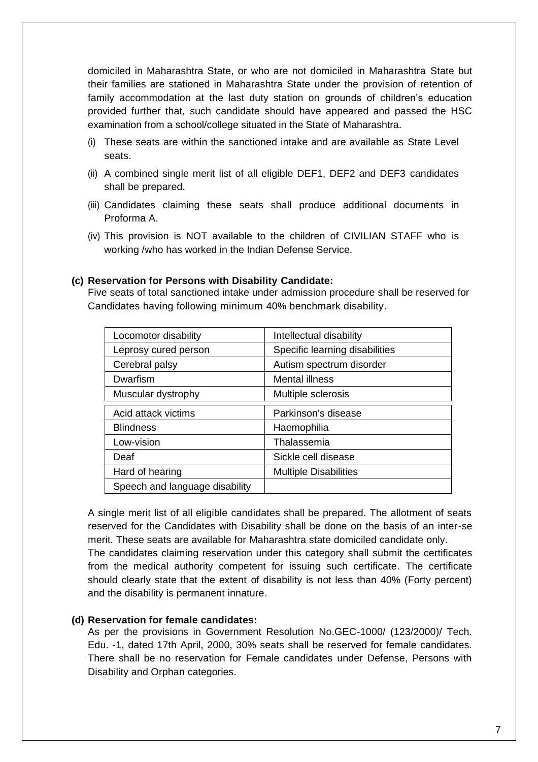domiciled in Maharashtra State, or who are not domiciled in Maharashtra State but their families are stationed in Maharashtra State under the provision of retention of family accommodation at the last duty station on grounds of children's education provided further that, such candidate should have appeared and passed the HSC examination from a school/college situated in the State of Maharashtra.

- (i) These seats are within the sanctioned intake and are available as State Level seats.
- (ii) A combined single merit list of all eligible DEF1, DEF2 and DEF3 candidates shall be prepared.
- (iii) Candidates claiming these seats shall produce additional documents in Proforma A.
- (iv) This provision is NOT available to the children of CIVILIAN STAFF who is working /who has worked in the Indian Defense Service.

#### **(c) Reservation for Persons with Disability Candidate:**

Five seats of total sanctioned intake under admission procedure shall be reserved for Candidates having following minimum 40% benchmark disability.

| Locomotor disability           | Intellectual disability        |
|--------------------------------|--------------------------------|
| Leprosy cured person           | Specific learning disabilities |
| Cerebral palsy                 | Autism spectrum disorder       |
| Dwarfism                       | Mental illness                 |
| Muscular dystrophy             | Multiple sclerosis             |
| Acid attack victims            | Parkinson's disease            |
| <b>Blindness</b>               | Haemophilia                    |
| Low-vision                     | Thalassemia                    |
| Deaf                           | Sickle cell disease            |
| Hard of hearing                | <b>Multiple Disabilities</b>   |
| Speech and language disability |                                |

A single merit list of all eligible candidates shall be prepared. The allotment of seats reserved for the Candidates with Disability shall be done on the basis of an inter-se merit. These seats are available for Maharashtra state domiciled candidate only.

The candidates claiming reservation under this category shall submit the certificates from the medical authority competent for issuing such certificate. The certificate should clearly state that the extent of disability is not less than 40% (Forty percent) and the disability is permanent innature.

#### **(d) Reservation for female candidates:**

As per the provisions in Government Resolution No.GEC-1000/ (123/2000)/ Tech. Edu. -1, dated 17th April, 2000, 30% seats shall be reserved for female candidates. There shall be no reservation for Female candidates under Defense, Persons with Disability and Orphan categories.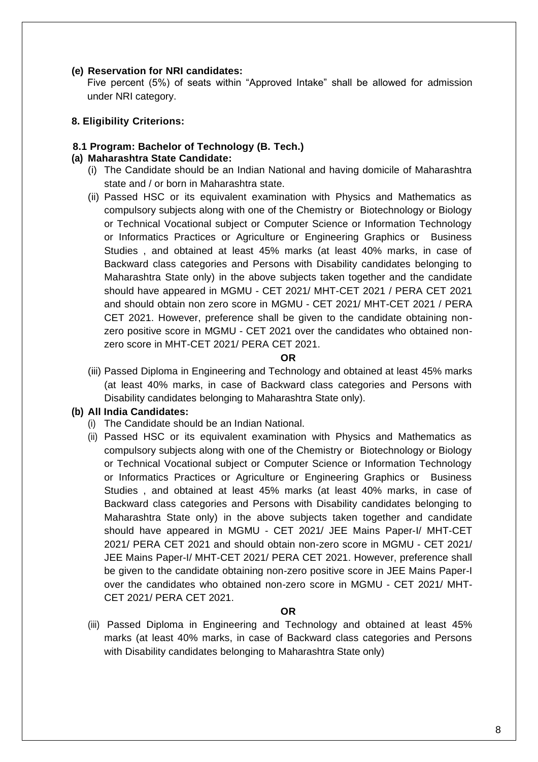#### **(e) Reservation for NRI candidates:**

Five percent (5%) of seats within "Approved Intake" shall be allowed for admission under NRI category.

#### **8. Eligibility Criterions:**

#### **8.1 Program: Bachelor of Technology (B. Tech.)**

#### **(a) Maharashtra State Candidate:**

- (i) The Candidate should be an Indian National and having domicile of Maharashtra state and / or born in Maharashtra state.
- (ii) Passed HSC or its equivalent examination with Physics and Mathematics as compulsory subjects along with one of the Chemistry or Biotechnology or Biology or Technical Vocational subject or Computer Science or Information Technology or Informatics Practices or Agriculture or Engineering Graphics or Business Studies , and obtained at least 45% marks (at least 40% marks, in case of Backward class categories and Persons with Disability candidates belonging to Maharashtra State only) in the above subjects taken together and the candidate should have appeared in MGMU - CET 2021/ MHT-CET 2021 / PERA CET 2021 and should obtain non zero score in MGMU - CET 2021/ MHT-CET 2021 / PERA CET 2021. However, preference shall be given to the candidate obtaining nonzero positive score in MGMU - CET 2021 over the candidates who obtained nonzero score in MHT-CET 2021/ PERA CET 2021.

#### **OR**

(iii) Passed Diploma in Engineering and Technology and obtained at least 45% marks (at least 40% marks, in case of Backward class categories and Persons with Disability candidates belonging to Maharashtra State only).

#### **(b) All India Candidates:**

- (i) The Candidate should be an Indian National.
- (ii) Passed HSC or its equivalent examination with Physics and Mathematics as compulsory subjects along with one of the Chemistry or Biotechnology or Biology or Technical Vocational subject or Computer Science or Information Technology or Informatics Practices or Agriculture or Engineering Graphics or Business Studies , and obtained at least 45% marks (at least 40% marks, in case of Backward class categories and Persons with Disability candidates belonging to Maharashtra State only) in the above subjects taken together and candidate should have appeared in MGMU - CET 2021/ JEE Mains Paper-I/ MHT-CET 2021/ PERA CET 2021 and should obtain non-zero score in MGMU - CET 2021/ JEE Mains Paper-I/ MHT-CET 2021/ PERA CET 2021. However, preference shall be given to the candidate obtaining non-zero positive score in JEE Mains Paper-I over the candidates who obtained non-zero score in MGMU - CET 2021/ MHT-CET 2021/ PERA CET 2021.

#### **OR**

(iii) Passed Diploma in Engineering and Technology and obtained at least 45% marks (at least 40% marks, in case of Backward class categories and Persons with Disability candidates belonging to Maharashtra State only)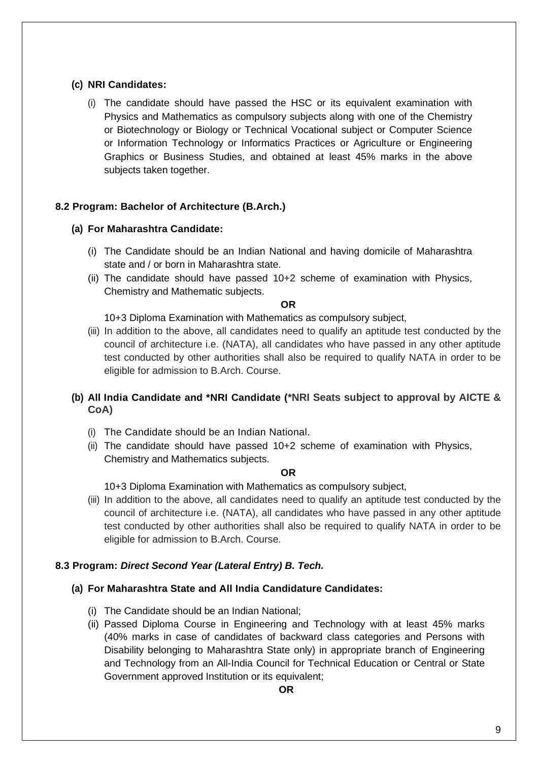#### **(c) NRI Candidates:**

(i) The candidate should have passed the HSC or its equivalent examination with Physics and Mathematics as compulsory subjects along with one of the Chemistry or Biotechnology or Biology or Technical Vocational subject or Computer Science or Information Technology or Informatics Practices or Agriculture or Engineering Graphics or Business Studies, and obtained at least 45% marks in the above subjects taken together.

#### **8.2 Program: Bachelor of Architecture (B.Arch.)**

#### **(a) For Maharashtra Candidate:**

- (i) The Candidate should be an Indian National and having domicile of Maharashtra state and / or born in Maharashtra state.
- (ii) The candidate should have passed 10+2 scheme of examination with Physics, Chemistry and Mathematic subjects.

**OR**

10+3 Diploma Examination with Mathematics as compulsory subject,

(iii) In addition to the above, all candidates need to qualify an aptitude test conducted by the council of architecture i.e. (NATA), all candidates who have passed in any other aptitude test conducted by other authorities shall also be required to qualify NATA in order to be eligible for admission to B.Arch. Course.

#### **(b) All India Candidate and \*NRI Candidate (\*NRI Seats subject to approval by AICTE & CoA)**

- (i) The Candidate should be an Indian National.
- (ii) The candidate should have passed 10+2 scheme of examination with Physics, Chemistry and Mathematics subjects.

#### **OR**

10+3 Diploma Examination with Mathematics as compulsory subject,

(iii) In addition to the above, all candidates need to qualify an aptitude test conducted by the council of architecture i.e. (NATA), all candidates who have passed in any other aptitude test conducted by other authorities shall also be required to qualify NATA in order to be eligible for admission to B.Arch. Course.

#### **8.3 Program:** *Direct Second Year (Lateral Entry) B. Tech.*

#### **(a) For Maharashtra State and All India Candidature Candidates:**

- (i) The Candidate should be an Indian National;
- (ii) Passed Diploma Course in Engineering and Technology with at least 45% marks (40% marks in case of candidates of backward class categories and Persons with Disability belonging to Maharashtra State only) in appropriate branch of Engineering and Technology from an All-India Council for Technical Education or Central or State Government approved Institution or its equivalent;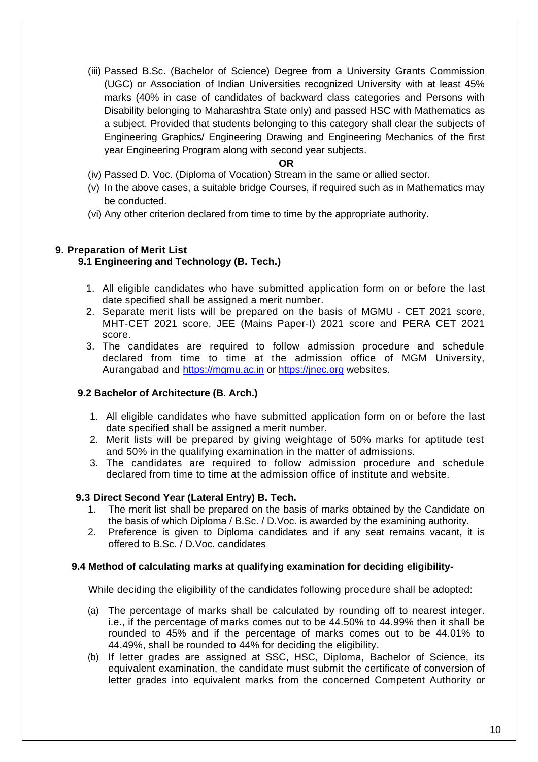(iii) Passed B.Sc. (Bachelor of Science) Degree from a University Grants Commission (UGC) or Association of Indian Universities recognized University with at least 45% marks (40% in case of candidates of backward class categories and Persons with Disability belonging to Maharashtra State only) and passed HSC with Mathematics as a subject. Provided that students belonging to this category shall clear the subjects of Engineering Graphics/ Engineering Drawing and Engineering Mechanics of the first year Engineering Program along with second year subjects.

#### **OR**

- (iv) Passed D. Voc. (Diploma of Vocation) Stream in the same or allied sector.
- (v) In the above cases, a suitable bridge Courses, if required such as in Mathematics may be conducted.
- (vi) Any other criterion declared from time to time by the appropriate authority.

#### **9. Preparation of Merit List**

#### **9.1 Engineering and Technology (B. Tech.)**

- 1. All eligible candidates who have submitted application form on or before the last date specified shall be assigned a merit number.
- 2. Separate merit lists will be prepared on the basis of MGMU CET 2021 score, MHT-CET 2021 score, JEE (Mains Paper-I) 2021 score and PERA CET 2021 score.
- 3. The candidates are required to follow admission procedure and schedule declared from time to time at the admission office of MGM University, Aurangabad and [https://mgmu.ac.in](https://mgmu.ac.in/) or [https://jnec.org](https://jnec.org/) websites.

#### **9.2 Bachelor of Architecture (B. Arch.)**

- 1. All eligible candidates who have submitted application form on or before the last date specified shall be assigned a merit number.
- 2. Merit lists will be prepared by giving weightage of 50% marks for aptitude test and 50% in the qualifying examination in the matter of admissions.
- 3. The candidates are required to follow admission procedure and schedule declared from time to time at the admission office of institute and website.

#### **9.3 Direct Second Year (Lateral Entry) B. Tech.**

- 1. The merit list shall be prepared on the basis of marks obtained by the Candidate on the basis of which Diploma / B.Sc. / D.Voc. is awarded by the examining authority.
- 2. Preference is given to Diploma candidates and if any seat remains vacant, it is offered to B.Sc. / D.Voc. candidates

#### **9.4 Method of calculating marks at qualifying examination for deciding eligibility-**

While deciding the eligibility of the candidates following procedure shall be adopted:

- (a) The percentage of marks shall be calculated by rounding off to nearest integer. i.e., if the percentage of marks comes out to be 44.50% to 44.99% then it shall be rounded to 45% and if the percentage of marks comes out to be 44.01% to 44.49%, shall be rounded to 44% for deciding the eligibility.
- (b) If letter grades are assigned at SSC, HSC, Diploma, Bachelor of Science, its equivalent examination, the candidate must submit the certificate of conversion of letter grades into equivalent marks from the concerned Competent Authority or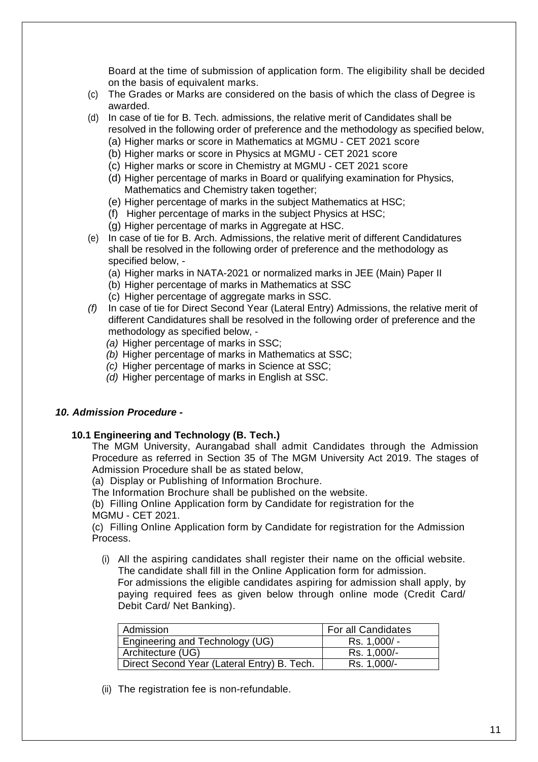Board at the time of submission of application form. The eligibility shall be decided on the basis of equivalent marks.

- (c) The Grades or Marks are considered on the basis of which the class of Degree is awarded.
- (d) In case of tie for B. Tech. admissions, the relative merit of Candidates shall be resolved in the following order of preference and the methodology as specified below,
	- (a) Higher marks or score in Mathematics at MGMU CET 2021 score
	- (b) Higher marks or score in Physics at MGMU CET 2021 score
	- (c) Higher marks or score in Chemistry at MGMU CET 2021 score
	- (d) Higher percentage of marks in Board or qualifying examination for Physics, Mathematics and Chemistry taken together;
	- (e) Higher percentage of marks in the subject Mathematics at HSC;
	- (f) Higher percentage of marks in the subject Physics at HSC;
	- (g) Higher percentage of marks in Aggregate at HSC.
- (e) In case of tie for B. Arch. Admissions, the relative merit of different Candidatures shall be resolved in the following order of preference and the methodology as specified below, -
	- (a) Higher marks in NATA-2021 or normalized marks in JEE (Main) Paper II
	- (b) Higher percentage of marks in Mathematics at SSC
	- (c) Higher percentage of aggregate marks in SSC.
- *(f)* In case of tie for Direct Second Year (Lateral Entry) Admissions, the relative merit of different Candidatures shall be resolved in the following order of preference and the methodology as specified below, -
	- *(a)* Higher percentage of marks in SSC;
	- *(b)* Higher percentage of marks in Mathematics at SSC;
	- *(c)* Higher percentage of marks in Science at SSC;
	- *(d)* Higher percentage of marks in English at SSC.

#### *10. Admission Procedure -*

#### **10.1 Engineering and Technology (B. Tech.)**

The MGM University, Aurangabad shall admit Candidates through the Admission Procedure as referred in Section 35 of The MGM University Act 2019. The stages of Admission Procedure shall be as stated below,

(a) Display or Publishing of Information Brochure.

The Information Brochure shall be published on the website.

(b) Filling Online Application form by Candidate for registration for the MGMU - CET 2021.

(c) Filling Online Application form by Candidate for registration for the Admission Process.

(i) All the aspiring candidates shall register their name on the official website. The candidate shall fill in the Online Application form for admission.

For admissions the eligible candidates aspiring for admission shall apply, by paying required fees as given below through online mode (Credit Card/ Debit Card/ Net Banking).

| Admission                                   | For all Candidates |
|---------------------------------------------|--------------------|
| Engineering and Technology (UG)             | Rs. 1,000/ -       |
| Architecture (UG)                           | Rs. 1,000/-        |
| Direct Second Year (Lateral Entry) B. Tech. | Rs. 1,000/-        |

(ii) The registration fee is non-refundable.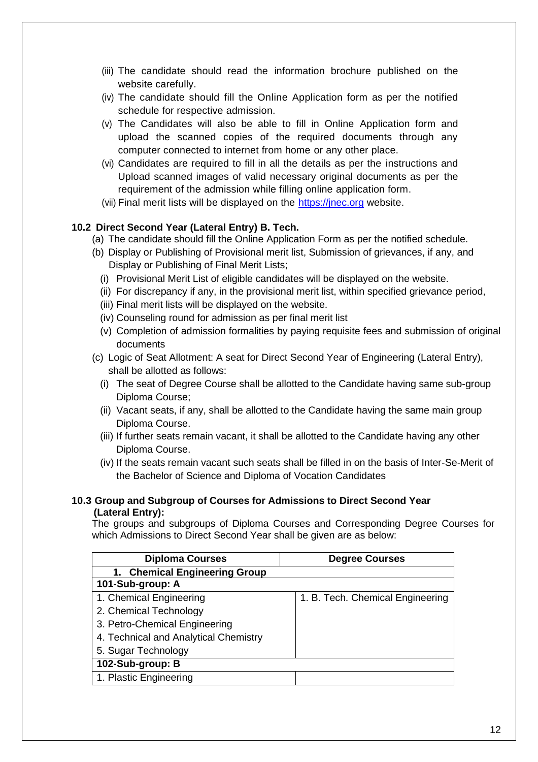- (iii) The candidate should read the information brochure published on the website carefully.
- (iv) The candidate should fill the Online Application form as per the notified schedule for respective admission.
- (v) The Candidates will also be able to fill in Online Application form and upload the scanned copies of the required documents through any computer connected to internet from home or any other place.
- (vi) Candidates are required to fill in all the details as per the instructions and Upload scanned images of valid necessary original documents as per the requirement of the admission while filling online application form.
- (vii) Final merit lists will be displayed on the [https://jnec.org](https://jnec.org/) website.

#### **10.2 Direct Second Year (Lateral Entry) B. Tech.**

- (a) The candidate should fill the Online Application Form as per the notified schedule.
- (b) Display or Publishing of Provisional merit list, Submission of grievances, if any, and Display or Publishing of Final Merit Lists;
	- (i) Provisional Merit List of eligible candidates will be displayed on the website.
	- (ii) For discrepancy if any, in the provisional merit list, within specified grievance period,
	- (iii) Final merit lists will be displayed on the website.
	- (iv) Counseling round for admission as per final merit list
	- (v) Completion of admission formalities by paying requisite fees and submission of original documents
- (c) Logic of Seat Allotment: A seat for Direct Second Year of Engineering (Lateral Entry), shall be allotted as follows:
	- (i) The seat of Degree Course shall be allotted to the Candidate having same sub-group Diploma Course;
	- (ii) Vacant seats, if any, shall be allotted to the Candidate having the same main group Diploma Course.
	- (iii) If further seats remain vacant, it shall be allotted to the Candidate having any other Diploma Course.
	- (iv) If the seats remain vacant such seats shall be filled in on the basis of Inter-Se-Merit of the Bachelor of Science and Diploma of Vocation Candidates

#### **10.3 Group and Subgroup of Courses for Admissions to Direct Second Year (Lateral Entry):**

The groups and subgroups of Diploma Courses and Corresponding Degree Courses for which Admissions to Direct Second Year shall be given are as below:

| <b>Diploma Courses</b>                | <b>Degree Courses</b>            |  |  |
|---------------------------------------|----------------------------------|--|--|
| 1. Chemical Engineering Group         |                                  |  |  |
| 101-Sub-group: A                      |                                  |  |  |
| 1. Chemical Engineering               | 1. B. Tech. Chemical Engineering |  |  |
| 2. Chemical Technology                |                                  |  |  |
| 3. Petro-Chemical Engineering         |                                  |  |  |
| 4. Technical and Analytical Chemistry |                                  |  |  |
| 5. Sugar Technology                   |                                  |  |  |
| 102-Sub-group: B                      |                                  |  |  |
| 1. Plastic Engineering                |                                  |  |  |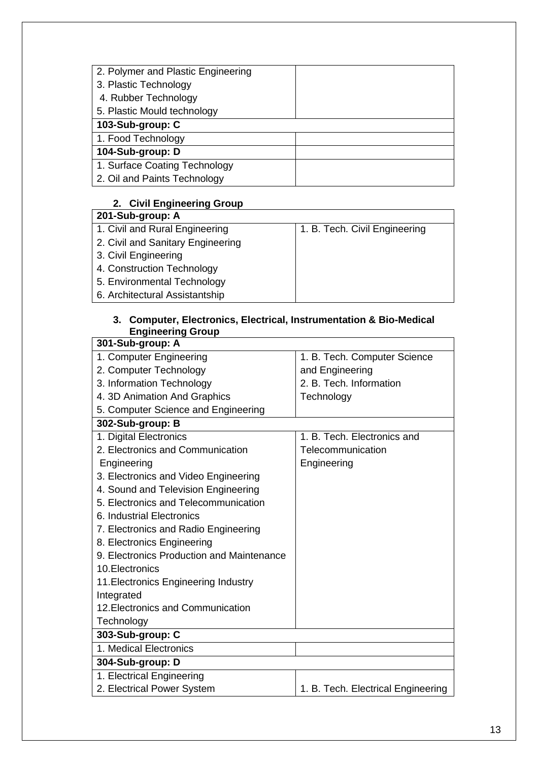| 2. Polymer and Plastic Engineering |  |
|------------------------------------|--|
| 3. Plastic Technology              |  |
| 4. Rubber Technology               |  |
| 5. Plastic Mould technology        |  |
| 103-Sub-group: C                   |  |
| 1. Food Technology                 |  |
| 104-Sub-group: D                   |  |
| 1. Surface Coating Technology      |  |
| 2. Oil and Paints Technology       |  |

### **2. Civil Engineering Group**

#### **201-Sub-group: A**

| 1. B. Tech. Civil Engineering |
|-------------------------------|
|                               |
|                               |
|                               |
|                               |
|                               |
|                               |

#### **3. Computer, Electronics, Electrical, Instrumentation & Bio-Medical Engineering Group**

| 301-Sub-group: A                          |                                    |
|-------------------------------------------|------------------------------------|
| 1. Computer Engineering                   | 1. B. Tech. Computer Science       |
| 2. Computer Technology                    | and Engineering                    |
| 3. Information Technology                 | 2. B. Tech. Information            |
| 4. 3D Animation And Graphics              | Technology                         |
| 5. Computer Science and Engineering       |                                    |
| 302-Sub-group: B                          |                                    |
| 1. Digital Electronics                    | 1. B. Tech. Electronics and        |
| 2. Electronics and Communication          | Telecommunication                  |
| Engineering                               | Engineering                        |
| 3. Electronics and Video Engineering      |                                    |
| 4. Sound and Television Engineering       |                                    |
| 5. Electronics and Telecommunication      |                                    |
| 6. Industrial Electronics                 |                                    |
| 7. Electronics and Radio Engineering      |                                    |
| 8. Electronics Engineering                |                                    |
| 9. Electronics Production and Maintenance |                                    |
| 10. Electronics                           |                                    |
| 11. Electronics Engineering Industry      |                                    |
| Integrated                                |                                    |
| 12. Electronics and Communication         |                                    |
| Technology                                |                                    |
| 303-Sub-group: C                          |                                    |
| 1. Medical Electronics                    |                                    |
| 304-Sub-group: D                          |                                    |
| 1. Electrical Engineering                 |                                    |
| 2. Electrical Power System                | 1. B. Tech. Electrical Engineering |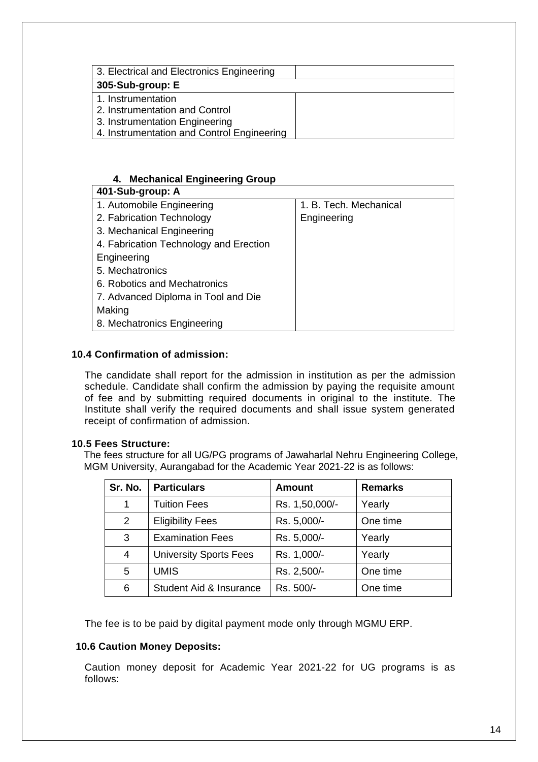| 3. Electrical and Electronics Engineering  |  |
|--------------------------------------------|--|
| 305-Sub-group: E                           |  |
| 1. Instrumentation                         |  |
| 2. Instrumentation and Control             |  |
| 3. Instrumentation Engineering             |  |
| 4. Instrumentation and Control Engineering |  |

#### **4. Mechanical Engineering Group**

| 401-Sub-group: A                       |                        |
|----------------------------------------|------------------------|
| 1. Automobile Engineering              | 1. B. Tech. Mechanical |
| 2. Fabrication Technology              | Engineering            |
| 3. Mechanical Engineering              |                        |
| 4. Fabrication Technology and Erection |                        |
| Engineering                            |                        |
| 5. Mechatronics                        |                        |
| 6. Robotics and Mechatronics           |                        |
| 7. Advanced Diploma in Tool and Die    |                        |
| Making                                 |                        |
| 8. Mechatronics Engineering            |                        |

#### **10.4 Confirmation of admission:**

The candidate shall report for the admission in institution as per the admission schedule. Candidate shall confirm the admission by paying the requisite amount of fee and by submitting required documents in original to the institute. The Institute shall verify the required documents and shall issue system generated receipt of confirmation of admission.

#### **10.5 Fees Structure:**

The fees structure for all UG/PG programs of Jawaharlal Nehru Engineering College, MGM University, Aurangabad for the Academic Year 2021-22 is as follows:

| Sr. No.        | <b>Particulars</b>            | <b>Amount</b>  | <b>Remarks</b> |
|----------------|-------------------------------|----------------|----------------|
| 1              | <b>Tuition Fees</b>           | Rs. 1,50,000/- | Yearly         |
| $\overline{2}$ | <b>Eligibility Fees</b>       | Rs. 5,000/-    | One time       |
| 3              | <b>Examination Fees</b>       | Rs. 5,000/-    | Yearly         |
| 4              | <b>University Sports Fees</b> | Rs. 1,000/-    | Yearly         |
| 5              | <b>UMIS</b>                   | Rs. 2,500/-    | One time       |
| 6              | Student Aid & Insurance       | Rs. 500/-      | One time       |

The fee is to be paid by digital payment mode only through MGMU ERP.

#### **10.6 Caution Money Deposits:**

Caution money deposit for Academic Year 2021-22 for UG programs is as follows: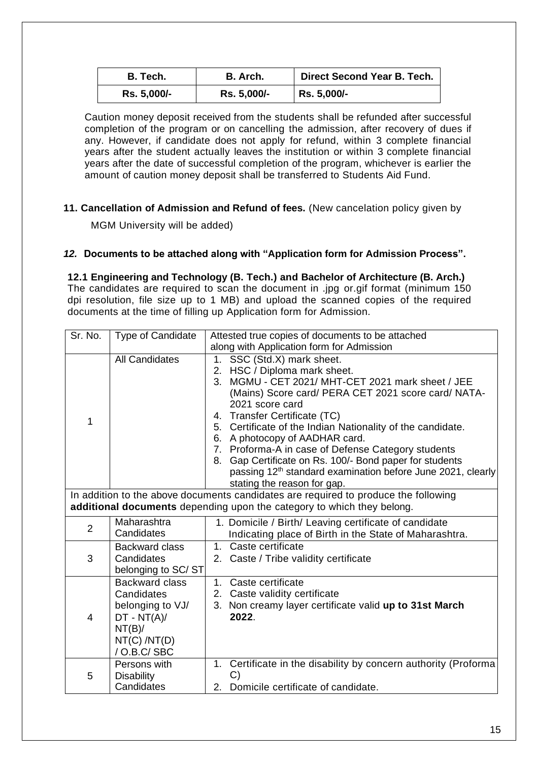| B. Tech.    | B. Arch.    | Direct Second Year B. Tech. |  |  |
|-------------|-------------|-----------------------------|--|--|
| Rs. 5,000/- | Rs. 5,000/- | Rs. 5,000/-                 |  |  |

Caution money deposit received from the students shall be refunded after successful completion of the program or on cancelling the admission, after recovery of dues if any. However, if candidate does not apply for refund, within 3 complete financial years after the student actually leaves the institution or within 3 complete financial years after the date of successful completion of the program, whichever is earlier the amount of caution money deposit shall be transferred to Students Aid Fund.

#### **11. Cancellation of Admission and Refund of fees.** (New cancelation policy given by

MGM University will be added)

#### *12.* **Documents to be attached along with "Application form for Admission Process".**

#### **12.1 Engineering and Technology (B. Tech.) and Bachelor of Architecture (B. Arch.)**

The candidates are required to scan the document in .jpg or.gif format (minimum 150 dpi resolution, file size up to 1 MB) and upload the scanned copies of the required documents at the time of filling up Application form for Admission.

| Sr. No.                                                                                                                                                       | Type of Candidate                                                                                                    | Attested true copies of documents to be attached                                                                                                                                                                                                                                                                                                                                                                                                                                                                                                              |  |  |  |
|---------------------------------------------------------------------------------------------------------------------------------------------------------------|----------------------------------------------------------------------------------------------------------------------|---------------------------------------------------------------------------------------------------------------------------------------------------------------------------------------------------------------------------------------------------------------------------------------------------------------------------------------------------------------------------------------------------------------------------------------------------------------------------------------------------------------------------------------------------------------|--|--|--|
|                                                                                                                                                               |                                                                                                                      | along with Application form for Admission                                                                                                                                                                                                                                                                                                                                                                                                                                                                                                                     |  |  |  |
| 1                                                                                                                                                             | <b>All Candidates</b>                                                                                                | SSC (Std.X) mark sheet.<br>1.<br>2. HSC / Diploma mark sheet.<br>MGMU - CET 2021/ MHT-CET 2021 mark sheet / JEE<br>3.<br>(Mains) Score card/ PERA CET 2021 score card/ NATA-<br>2021 score card<br>4. Transfer Certificate (TC)<br>5. Certificate of the Indian Nationality of the candidate.<br>6. A photocopy of AADHAR card.<br>7. Proforma-A in case of Defense Category students<br>Gap Certificate on Rs. 100/- Bond paper for students<br>8.<br>passing 12 <sup>th</sup> standard examination before June 2021, clearly<br>stating the reason for gap. |  |  |  |
| In addition to the above documents candidates are required to produce the following<br>additional documents depending upon the category to which they belong. |                                                                                                                      |                                                                                                                                                                                                                                                                                                                                                                                                                                                                                                                                                               |  |  |  |
| $\overline{2}$                                                                                                                                                | Maharashtra<br>Candidates                                                                                            | 1. Domicile / Birth/ Leaving certificate of candidate<br>Indicating place of Birth in the State of Maharashtra.                                                                                                                                                                                                                                                                                                                                                                                                                                               |  |  |  |
| 3                                                                                                                                                             | <b>Backward class</b><br>Candidates<br>belonging to SC/ST                                                            | 1. Caste certificate<br>2. Caste / Tribe validity certificate                                                                                                                                                                                                                                                                                                                                                                                                                                                                                                 |  |  |  |
| $\overline{4}$                                                                                                                                                | <b>Backward class</b><br>Candidates<br>belonging to VJ/<br>$DT - NT(A)$ /<br>NT(B)/<br>NT(C) / NT(D)<br>/ O.B.C/ SBC | 1. Caste certificate<br>2. Caste validity certificate<br>3. Non creamy layer certificate valid up to 31st March<br>2022.                                                                                                                                                                                                                                                                                                                                                                                                                                      |  |  |  |
| 5                                                                                                                                                             | Persons with<br><b>Disability</b><br>Candidates                                                                      | Certificate in the disability by concern authority (Proforma<br>1.<br>$\mathcal{C}$<br>Domicile certificate of candidate.<br>2.                                                                                                                                                                                                                                                                                                                                                                                                                               |  |  |  |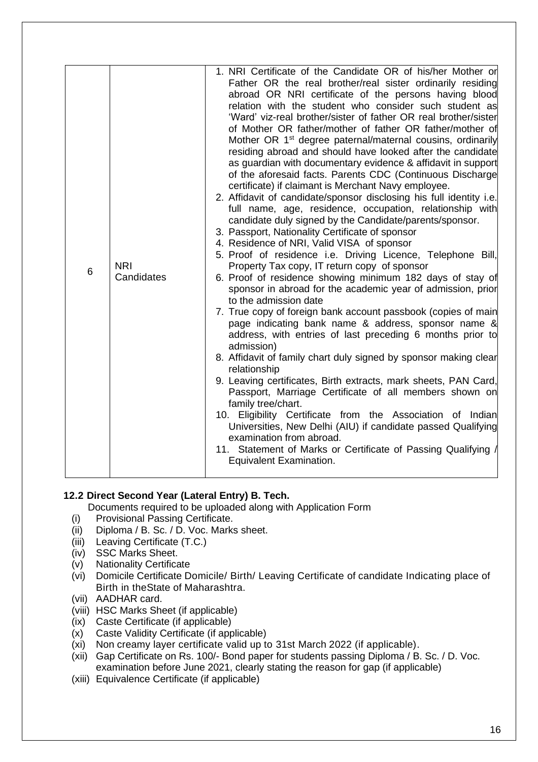| 6 | <b>NRI</b><br>Candidates | 1. NRI Certificate of the Candidate OR of his/her Mother or<br>Father OR the real brother/real sister ordinarily residing<br>abroad OR NRI certificate of the persons having blood<br>relation with the student who consider such student as<br>'Ward' viz-real brother/sister of father OR real brother/sister<br>of Mother OR father/mother of father OR father/mother of<br>Mother OR 1 <sup>st</sup> degree paternal/maternal cousins, ordinarily<br>residing abroad and should have looked after the candidate<br>as guardian with documentary evidence & affidavit in support<br>of the aforesaid facts. Parents CDC (Continuous Discharge<br>certificate) if claimant is Merchant Navy employee.<br>2. Affidavit of candidate/sponsor disclosing his full identity i.e.<br>full name, age, residence, occupation, relationship with<br>candidate duly signed by the Candidate/parents/sponsor.<br>3. Passport, Nationality Certificate of sponsor<br>4. Residence of NRI, Valid VISA of sponsor<br>5. Proof of residence i.e. Driving Licence, Telephone Bill,<br>Property Tax copy, IT return copy of sponsor<br>6. Proof of residence showing minimum 182 days of stay of<br>sponsor in abroad for the academic year of admission, prior<br>to the admission date<br>7. True copy of foreign bank account passbook (copies of main<br>page indicating bank name & address, sponsor name &<br>address, with entries of last preceding 6 months prior to<br>admission)<br>8. Affidavit of family chart duly signed by sponsor making clear<br>relationship<br>9. Leaving certificates, Birth extracts, mark sheets, PAN Card,<br>Passport, Marriage Certificate of all members shown on<br>family tree/chart.<br>10. Eligibility Certificate from the Association of Indian<br>Universities, New Delhi (AIU) if candidate passed Qualifying<br>examination from abroad.<br>11. Statement of Marks or Certificate of Passing Qualifying<br>Equivalent Examination. |
|---|--------------------------|--------------------------------------------------------------------------------------------------------------------------------------------------------------------------------------------------------------------------------------------------------------------------------------------------------------------------------------------------------------------------------------------------------------------------------------------------------------------------------------------------------------------------------------------------------------------------------------------------------------------------------------------------------------------------------------------------------------------------------------------------------------------------------------------------------------------------------------------------------------------------------------------------------------------------------------------------------------------------------------------------------------------------------------------------------------------------------------------------------------------------------------------------------------------------------------------------------------------------------------------------------------------------------------------------------------------------------------------------------------------------------------------------------------------------------------------------------------------------------------------------------------------------------------------------------------------------------------------------------------------------------------------------------------------------------------------------------------------------------------------------------------------------------------------------------------------------------------------------------------------------------------------------------------------------------------------------------------------------|

#### **12.2 Direct Second Year (Lateral Entry) B. Tech.**

Documents required to be uploaded along with Application Form

- (i) Provisional Passing Certificate.
- (ii) Diploma / B. Sc. / D. Voc. Marks sheet.
- (iii) Leaving Certificate (T.C.)
- (iv) SSC Marks Sheet.
- (v) Nationality Certificate
- (vi) Domicile Certificate Domicile/ Birth/ Leaving Certificate of candidate Indicating place of Birth in theState of Maharashtra.
- (vii) AADHAR card.
- (viii) HSC Marks Sheet (if applicable)
- (ix) Caste Certificate (if applicable)
- (x) Caste Validity Certificate (if applicable)
- (xi) Non creamy layer certificate valid up to 31st March 2022 (if applicable).
- (xii) Gap Certificate on Rs. 100/- Bond paper for students passing Diploma / B. Sc. / D. Voc. examination before June 2021, clearly stating the reason for gap (if applicable)
- (xiii) Equivalence Certificate (if applicable)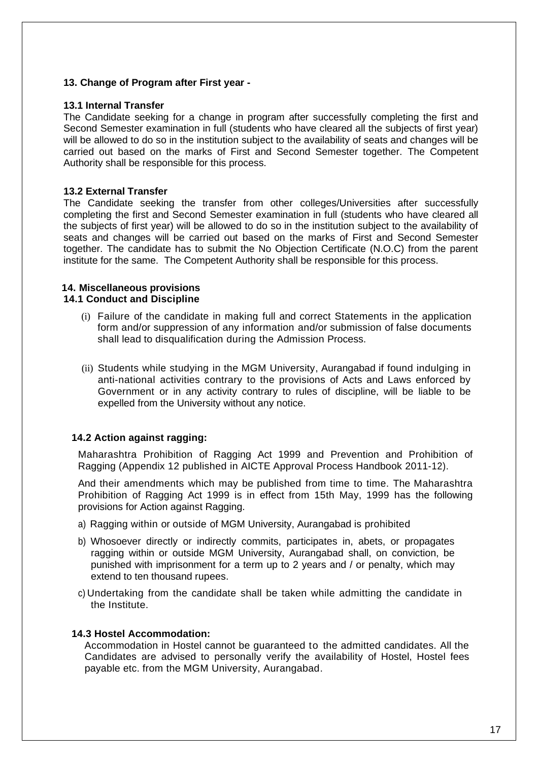#### **13. Change of Program after First year -**

#### **13.1 Internal Transfer**

The Candidate seeking for a change in program after successfully completing the first and Second Semester examination in full (students who have cleared all the subjects of first year) will be allowed to do so in the institution subject to the availability of seats and changes will be carried out based on the marks of First and Second Semester together. The Competent Authority shall be responsible for this process.

#### **13.2 External Transfer**

The Candidate seeking the transfer from other colleges/Universities after successfully completing the first and Second Semester examination in full (students who have cleared all the subjects of first year) will be allowed to do so in the institution subject to the availability of seats and changes will be carried out based on the marks of First and Second Semester together. The candidate has to submit the No Objection Certificate (N.O.C) from the parent institute for the same. The Competent Authority shall be responsible for this process.

## **14. Miscellaneous provisions**

#### **14.1 Conduct and Discipline**

- (i) Failure of the candidate in making full and correct Statements in the application form and/or suppression of any information and/or submission of false documents shall lead to disqualification during the Admission Process.
- (ii) Students while studying in the MGM University, Aurangabad if found indulging in anti-national activities contrary to the provisions of Acts and Laws enforced by Government or in any activity contrary to rules of discipline, will be liable to be expelled from the University without any notice.

#### **14.2 Action against ragging:**

Maharashtra Prohibition of Ragging Act 1999 and Prevention and Prohibition of Ragging (Appendix 12 published in AICTE Approval Process Handbook 2011-12).

And their amendments which may be published from time to time. The Maharashtra Prohibition of Ragging Act 1999 is in effect from 15th May, 1999 has the following provisions for Action against Ragging.

- a) Ragging within or outside of MGM University, Aurangabad is prohibited
- b) Whosoever directly or indirectly commits, participates in, abets, or propagates ragging within or outside MGM University, Aurangabad shall, on conviction, be punished with imprisonment for a term up to 2 years and / or penalty, which may extend to ten thousand rupees.
- c) Undertaking from the candidate shall be taken while admitting the candidate in the Institute.

#### **14.3 Hostel Accommodation:**

Accommodation in Hostel cannot be guaranteed to the admitted candidates. All the Candidates are advised to personally verify the availability of Hostel, Hostel fees payable etc. from the MGM University, Aurangabad.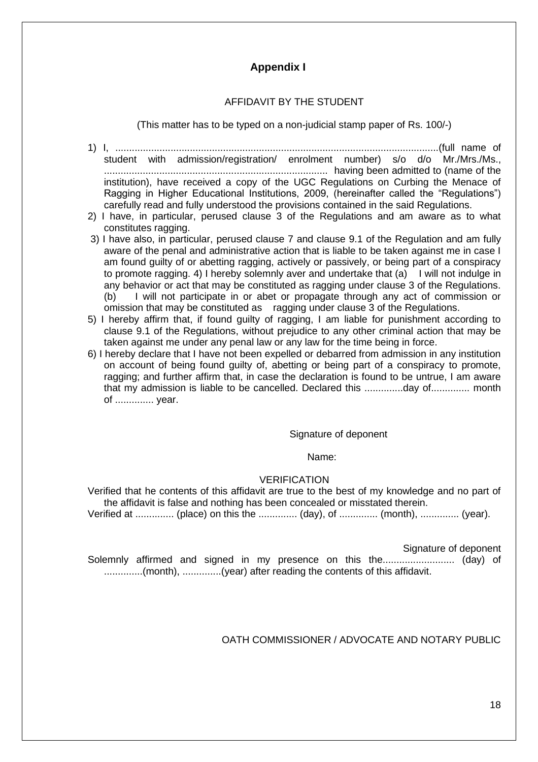## **Appendix I**

### AFFIDAVIT BY THE STUDENT

(This matter has to be typed on a non-judicial stamp paper of Rs. 100/-)

- 1) I, .....................................................................................................................(full name of student with admission/registration/ enrolment number) s/o d/o Mr./Mrs./Ms., ................................................................................. having been admitted to (name of the institution), have received a copy of the UGC Regulations on Curbing the Menace of Ragging in Higher Educational Institutions, 2009, (hereinafter called the "Regulations") carefully read and fully understood the provisions contained in the said Regulations.
- 2) I have, in particular, perused clause 3 of the Regulations and am aware as to what constitutes ragging.
- 3) I have also, in particular, perused clause 7 and clause 9.1 of the Regulation and am fully aware of the penal and administrative action that is liable to be taken against me in case I am found guilty of or abetting ragging, actively or passively, or being part of a conspiracy to promote ragging. 4) I hereby solemnly aver and undertake that (a) I will not indulge in any behavior or act that may be constituted as ragging under clause 3 of the Regulations. (b) I will not participate in or abet or propagate through any act of commission or omission that may be constituted as ragging under clause 3 of the Regulations.
- 5) I hereby affirm that, if found guilty of ragging, I am liable for punishment according to clause 9.1 of the Regulations, without prejudice to any other criminal action that may be taken against me under any penal law or any law for the time being in force.
- 6) I hereby declare that I have not been expelled or debarred from admission in any institution on account of being found guilty of, abetting or being part of a conspiracy to promote, ragging; and further affirm that, in case the declaration is found to be untrue, I am aware that my admission is liable to be cancelled. Declared this ..............day of.............. month of .............. year.

#### Signature of deponent

#### Name:

#### **VERIFICATION**

Verified that he contents of this affidavit are true to the best of my knowledge and no part of the affidavit is false and nothing has been concealed or misstated therein.

Verified at .............. (place) on this the .............. (day), of .............. (month), .............. (year).

Signature of deponent

Solemnly affirmed and signed in my presence on this the.......................... (day) of ..............(month), ..............(year) after reading the contents of this affidavit.

OATH COMMISSIONER / ADVOCATE AND NOTARY PUBLIC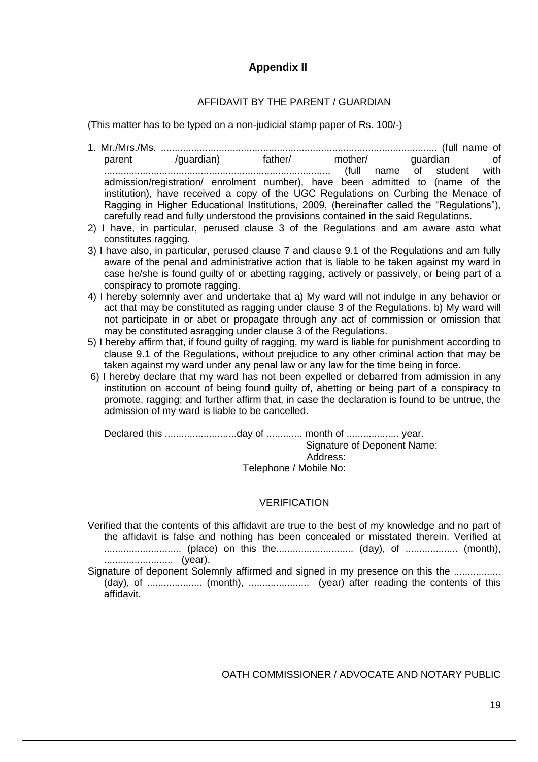# **Appendix II**

#### AFFIDAVIT BY THE PARENT / GUARDIAN

(This matter has to be typed on a non-judicial stamp paper of Rs. 100/-)

- 1. Mr./Mrs./Ms. .................................................................................................... (full name of parent /guardian) father/ mother/ guardian of ................................................................................., (full name of student with admission/registration/ enrolment number), have been admitted to (name of the institution), have received a copy of the UGC Regulations on Curbing the Menace of Ragging in Higher Educational Institutions, 2009, (hereinafter called the "Regulations"), carefully read and fully understood the provisions contained in the said Regulations.
- 2) I have, in particular, perused clause 3 of the Regulations and am aware asto what constitutes ragging.
- 3) I have also, in particular, perused clause 7 and clause 9.1 of the Regulations and am fully aware of the penal and administrative action that is liable to be taken against my ward in case he/she is found guilty of or abetting ragging, actively or passively, or being part of a conspiracy to promote ragging.
- 4) I hereby solemnly aver and undertake that a) My ward will not indulge in any behavior or act that may be constituted as ragging under clause 3 of the Regulations. b) My ward will not participate in or abet or propagate through any act of commission or omission that may be constituted asragging under clause 3 of the Regulations.
- 5) I hereby affirm that, if found guilty of ragging, my ward is liable for punishment according to clause 9.1 of the Regulations, without prejudice to any other criminal action that may be taken against my ward under any penal law or any law for the time being in force.
- 6) I hereby declare that my ward has not been expelled or debarred from admission in any institution on account of being found guilty of, abetting or being part of a conspiracy to promote, ragging; and further affirm that, in case the declaration is found to be untrue, the admission of my ward is liable to be cancelled.

Declared this ..........................day of ............. month of ................... year. Signature of Deponent Name: Address: Telephone / Mobile No:

#### VERIFICATION

- Verified that the contents of this affidavit are true to the best of my knowledge and no part of the affidavit is false and nothing has been concealed or misstated therein. Verified at ............................ (place) on this the............................ (day), of ................... (month), ......................... (year).
- Signature of deponent Solemnly affirmed and signed in my presence on this the ................. (day), of .................... (month), ...................... (year) after reading the contents of this affidavit.

OATH COMMISSIONER / ADVOCATE AND NOTARY PUBLIC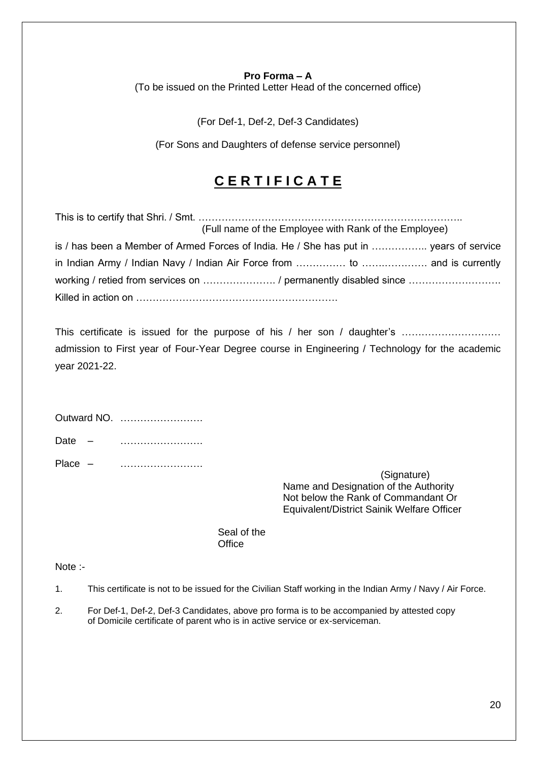#### **Pro Forma – A**

(To be issued on the Printed Letter Head of the concerned office)

(For Def-1, Def-2, Def-3 Candidates)

(For Sons and Daughters of defense service personnel)

# **C E R T I F I C A T E**

| (Full name of the Employee with Rank of the Employee)                                  |
|----------------------------------------------------------------------------------------|
| is / has been a Member of Armed Forces of India. He / She has put in  years of service |
|                                                                                        |
|                                                                                        |
|                                                                                        |

This certificate is issued for the purpose of his / her son / daughter's …………………………… admission to First year of Four-Year Degree course in Engineering / Technology for the academic year 2021-22.

|           | Outward NO. |
|-----------|-------------|
| Date $-$  | .           |
| Place $-$ |             |

(Signature) Name and Designation of the Authority Not below the Rank of Commandant Or Equivalent/District Sainik Welfare Officer

Seal of the **Office** 

Note :-

1. This certificate is not to be issued for the Civilian Staff working in the Indian Army / Navy / Air Force.

2. For Def-1, Def-2, Def-3 Candidates, above pro forma is to be accompanied by attested copy of Domicile certificate of parent who is in active service or ex-serviceman.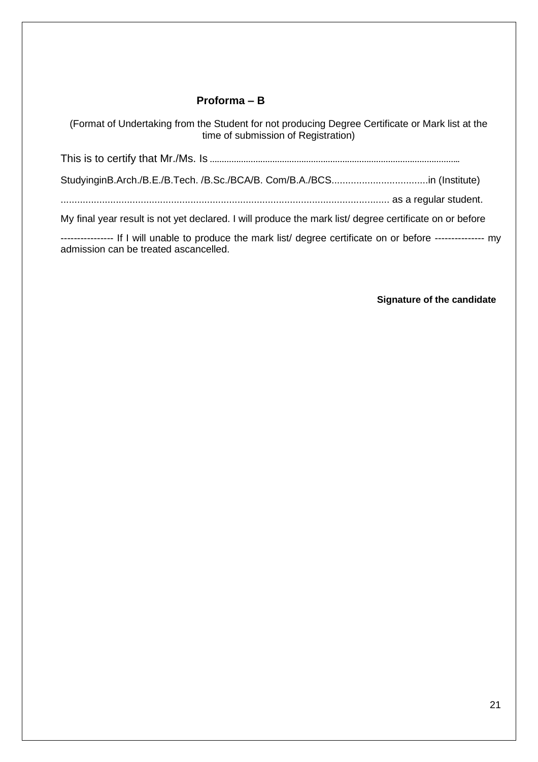## **Proforma – B**

(Format of Undertaking from the Student for not producing Degree Certificate or Mark list at the time of submission of Registration)

This is to certify that Mr./Ms. Is **…………………………………………………………………………………………..**

StudyinginB.Arch./B.E./B.Tech. /B.Sc./BCA/B. Com/B.A./BCS...................................in (Institute)

....................................................................................................................... as a regular student.

My final year result is not yet declared. I will produce the mark list/ degree certificate on or before

--------------- If I will unable to produce the mark list/ degree certificate on or before ---------------- my admission can be treated ascancelled.

**Signature of the candidate**